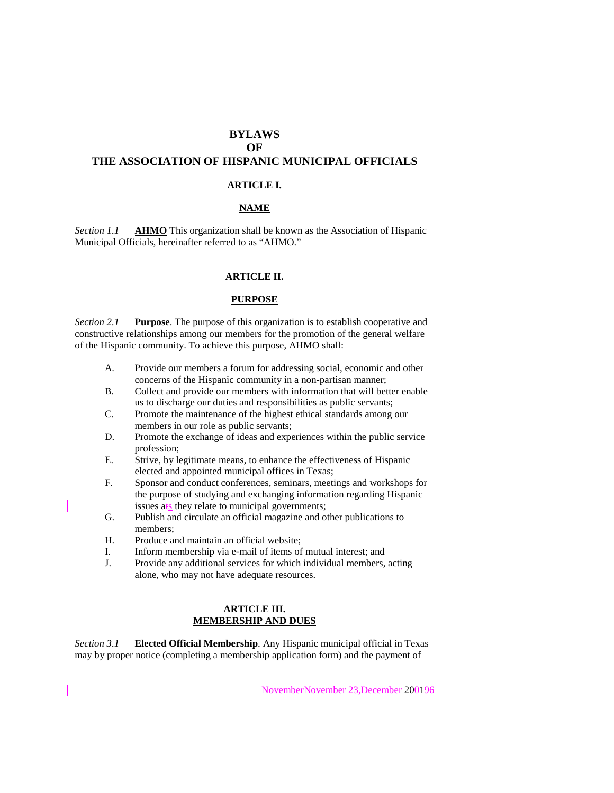# **BYLAWS OF**

# **THE ASSOCIATION OF HISPANIC MUNICIPAL OFFICIALS**

### **ARTICLE I.**

## **NAME**

*Section 1.1* **AHMO** This organization shall be known as the Association of Hispanic Municipal Officials, hereinafter referred to as "AHMO."

#### **ARTICLE II.**

### **PURPOSE**

*Section 2.1* **Purpose**. The purpose of this organization is to establish cooperative and constructive relationships among our members for the promotion of the general welfare of the Hispanic community. To achieve this purpose, AHMO shall:

- A. Provide our members a forum for addressing social, economic and other concerns of the Hispanic community in a non-partisan manner;
- B. Collect and provide our members with information that will better enable us to discharge our duties and responsibilities as public servants;
- C. Promote the maintenance of the highest ethical standards among our members in our role as public servants;
- D. Promote the exchange of ideas and experiences within the public service profession;
- E. Strive, by legitimate means, to enhance the effectiveness of Hispanic elected and appointed municipal offices in Texas;
- F. Sponsor and conduct conferences, seminars, meetings and workshops for the purpose of studying and exchanging information regarding Hispanic issues  $a \cdot s$  they relate to municipal governments;
- G. Publish and circulate an official magazine and other publications to members;
- H. Produce and maintain an official website;
- I. Inform membership via e-mail of items of mutual interest; and
- J. Provide any additional services for which individual members, acting alone, who may not have adequate resources.

#### **ARTICLE III. MEMBERSHIP AND DUES**

*Section 3.1* **Elected Official Membership**. Any Hispanic municipal official in Texas may by proper notice (completing a membership application form) and the payment of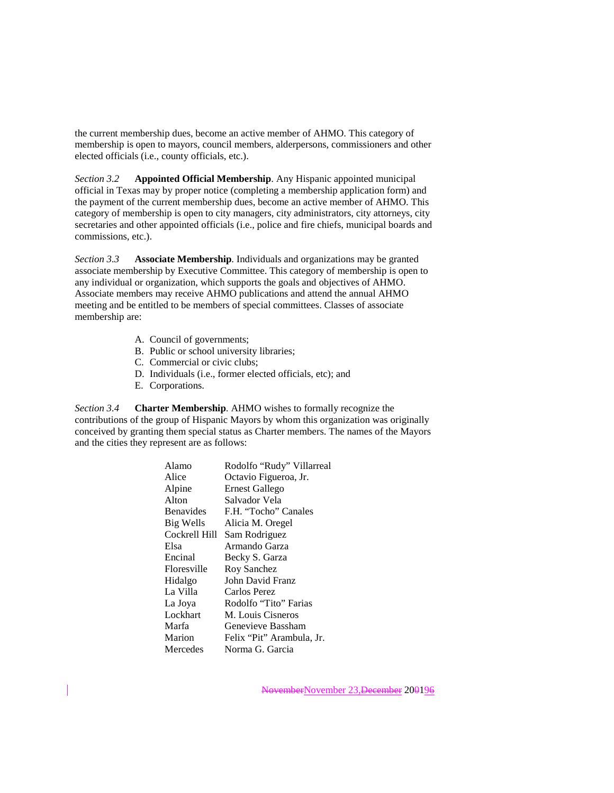the current membership dues, become an active member of AHMO. This category of membership is open to mayors, council members, alderpersons, commissioners and other elected officials (i.e., county officials, etc.).

*Section 3.2* **Appointed Official Membership**. Any Hispanic appointed municipal official in Texas may by proper notice (completing a membership application form) and the payment of the current membership dues, become an active member of AHMO. This category of membership is open to city managers, city administrators, city attorneys, city secretaries and other appointed officials (i.e., police and fire chiefs, municipal boards and commissions, etc.).

*Section 3.3* **Associate Membership**. Individuals and organizations may be granted associate membership by Executive Committee. This category of membership is open to any individual or organization, which supports the goals and objectives of AHMO. Associate members may receive AHMO publications and attend the annual AHMO meeting and be entitled to be members of special committees. Classes of associate membership are:

- A. Council of governments;
- B. Public or school university libraries;
- C. Commercial or civic clubs;
- D. Individuals (i.e., former elected officials, etc); and
- E. Corporations.

*Section 3.4* **Charter Membership**. AHMO wishes to formally recognize the contributions of the group of Hispanic Mayors by whom this organization was originally conceived by granting them special status as Charter members. The names of the Mayors and the cities they represent are as follows:

| Alamo            | Rodolfo "Rudy" Villarreal |
|------------------|---------------------------|
| Alice            | Octavio Figueroa, Jr.     |
| Alpine           | Ernest Gallego            |
| Alton            | Salvador Vela             |
| <b>Benavides</b> | F.H. "Tocho" Canales      |
| Big Wells        | Alicia M. Oregel          |
| Cockrell Hill    | Sam Rodriguez             |
| Elsa             | Armando Garza             |
| Encinal          | Becky S. Garza            |
| Floresville      | Roy Sanchez               |
| Hidalgo          | John David Franz          |
| La Villa         | Carlos Perez              |
| La Joya          | Rodolfo "Tito" Farias     |
| Lockhart         | M. Louis Cisneros         |
| Marfa            | Genevieve Bassham         |
| Marion           | Felix "Pit" Arambula, Jr. |
| Mercedes         | Norma G. Garcia           |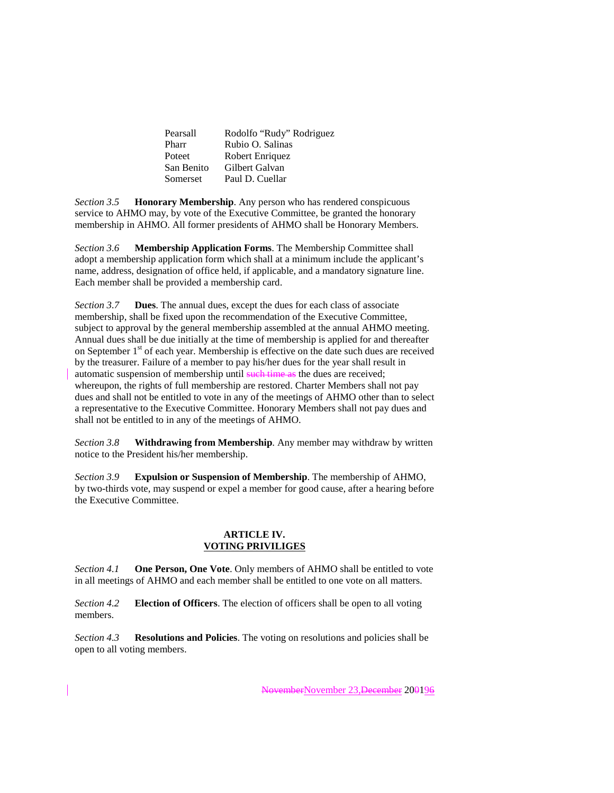| Pearsall   | Rodolfo "Rudy" Rodriguez |
|------------|--------------------------|
| Pharr      | Rubio O. Salinas         |
| Poteet     | Robert Enriquez          |
| San Benito | Gilbert Galvan           |
| Somerset   | Paul D. Cuellar          |

*Section 3.5* **Honorary Membership**. Any person who has rendered conspicuous service to AHMO may, by vote of the Executive Committee, be granted the honorary membership in AHMO. All former presidents of AHMO shall be Honorary Members.

*Section 3.6* **Membership Application Forms**. The Membership Committee shall adopt a membership application form which shall at a minimum include the applicant's name, address, designation of office held, if applicable, and a mandatory signature line. Each member shall be provided a membership card.

*Section 3.7* **Dues**. The annual dues, except the dues for each class of associate membership, shall be fixed upon the recommendation of the Executive Committee, subject to approval by the general membership assembled at the annual AHMO meeting. Annual dues shall be due initially at the time of membership is applied for and thereafter on September  $1<sup>st</sup>$  of each year. Membership is effective on the date such dues are received by the treasurer. Failure of a member to pay his/her dues for the year shall result in automatic suspension of membership until such time as the dues are received; whereupon, the rights of full membership are restored. Charter Members shall not pay dues and shall not be entitled to vote in any of the meetings of AHMO other than to select a representative to the Executive Committee. Honorary Members shall not pay dues and shall not be entitled to in any of the meetings of AHMO.

*Section 3.8* **Withdrawing from Membership**. Any member may withdraw by written notice to the President his/her membership.

*Section 3.9* **Expulsion or Suspension of Membership**. The membership of AHMO, by two-thirds vote, may suspend or expel a member for good cause, after a hearing before the Executive Committee.

## **ARTICLE IV. VOTING PRIVILIGES**

*Section 4.1* **One Person, One Vote**. Only members of AHMO shall be entitled to vote in all meetings of AHMO and each member shall be entitled to one vote on all matters.

*Section 4.2* **Election of Officers**. The election of officers shall be open to all voting members.

*Section 4.3* **Resolutions and Policies**. The voting on resolutions and policies shall be open to all voting members.

NovemberNovember 23,December 200196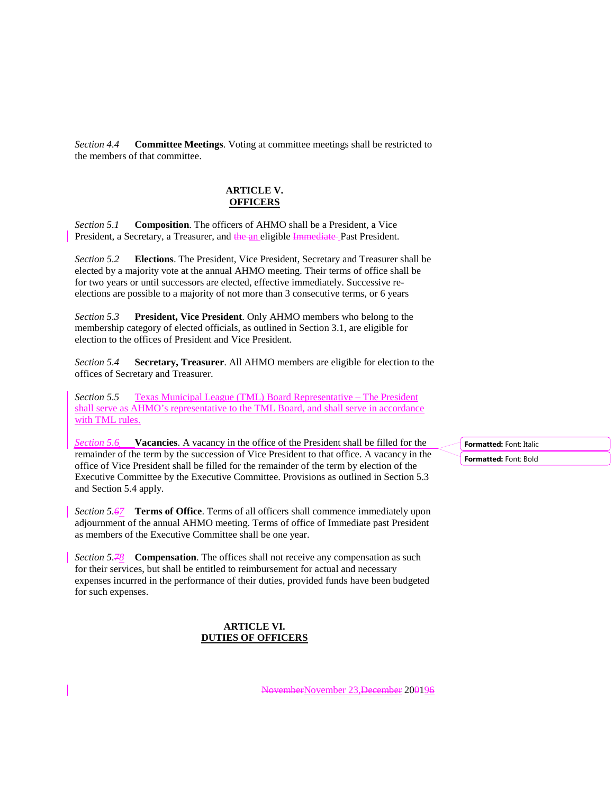*Section 4.4* **Committee Meetings**. Voting at committee meetings shall be restricted to the members of that committee.

# **ARTICLE V. OFFICERS**

*Section 5.1* **Composition**. The officers of AHMO shall be a President, a Vice President, a Secretary, a Treasurer, and the an eligible Immediate Past President.

*Section 5.2* **Elections**. The President, Vice President, Secretary and Treasurer shall be elected by a majority vote at the annual AHMO meeting. Their terms of office shall be for two years or until successors are elected, effective immediately. Successive reelections are possible to a majority of not more than 3 consecutive terms, or 6 years

*Section 5.3* **President, Vice President**. Only AHMO members who belong to the membership category of elected officials, as outlined in Section 3.1, are eligible for election to the offices of President and Vice President.

*Section 5.4* **Secretary, Treasurer**. All AHMO members are eligible for election to the offices of Secretary and Treasurer.

*Section 5.5* Texas Municipal League (TML) Board Representative – The President shall serve as AHMO's representative to the TML Board, and shall serve in accordance with TML rules.

*Section 5.6* **Vacancies**. A vacancy in the office of the President shall be filled for the remainder of the term by the succession of Vice President to that office. A vacancy in the office of Vice President shall be filled for the remainder of the term by election of the Executive Committee by the Executive Committee. Provisions as outlined in Section 5.3 and Section 5.4 apply.

*Section 5.67* **Terms of Office**. Terms of all officers shall commence immediately upon adjournment of the annual AHMO meeting. Terms of office of Immediate past President as members of the Executive Committee shall be one year.

*Section 5.78* **Compensation**. The offices shall not receive any compensation as such for their services, but shall be entitled to reimbursement for actual and necessary expenses incurred in the performance of their duties, provided funds have been budgeted for such expenses.

## **ARTICLE VI. DUTIES OF OFFICERS**

**Formatted:** Font: Italic **Formatted:** Font: Bold

NovemberNovember 23,December 200196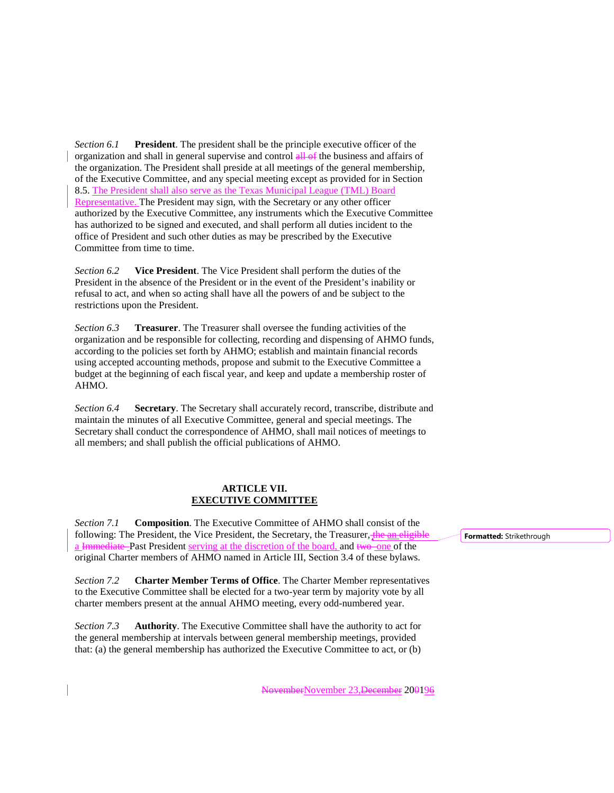*Section 6.1* **President**. The president shall be the principle executive officer of the organization and shall in general supervise and control all of the business and affairs of the organization. The President shall preside at all meetings of the general membership, of the Executive Committee, and any special meeting except as provided for in Section 8.5. The President shall also serve as the Texas Municipal League (TML) Board Representative. The President may sign, with the Secretary or any other officer authorized by the Executive Committee, any instruments which the Executive Committee has authorized to be signed and executed, and shall perform all duties incident to the office of President and such other duties as may be prescribed by the Executive Committee from time to time.

*Section 6.2* **Vice President**. The Vice President shall perform the duties of the President in the absence of the President or in the event of the President's inability or refusal to act, and when so acting shall have all the powers of and be subject to the restrictions upon the President.

*Section 6.3* **Treasurer**. The Treasurer shall oversee the funding activities of the organization and be responsible for collecting, recording and dispensing of AHMO funds, according to the policies set forth by AHMO; establish and maintain financial records using accepted accounting methods, propose and submit to the Executive Committee a budget at the beginning of each fiscal year, and keep and update a membership roster of AHMO.

*Section 6.4* **Secretary**. The Secretary shall accurately record, transcribe, distribute and maintain the minutes of all Executive Committee, general and special meetings. The Secretary shall conduct the correspondence of AHMO, shall mail notices of meetings to all members; and shall publish the official publications of AHMO.

## **ARTICLE VII. EXECUTIVE COMMITTEE**

*Section 7.1* **Composition**. The Executive Committee of AHMO shall consist of the following: The President, the Vice President, the Secretary, the Treasurer, the an eligible a Immediate Past President serving at the discretion of the board, and two one of the original Charter members of AHMO named in Article III, Section 3.4 of these bylaws.

*Section 7.2* **Charter Member Terms of Office**. The Charter Member representatives to the Executive Committee shall be elected for a two-year term by majority vote by all charter members present at the annual AHMO meeting, every odd-numbered year.

*Section 7.3* **Authority**. The Executive Committee shall have the authority to act for the general membership at intervals between general membership meetings, provided that: (a) the general membership has authorized the Executive Committee to act, or (b)

**Formatted:** Strikethrough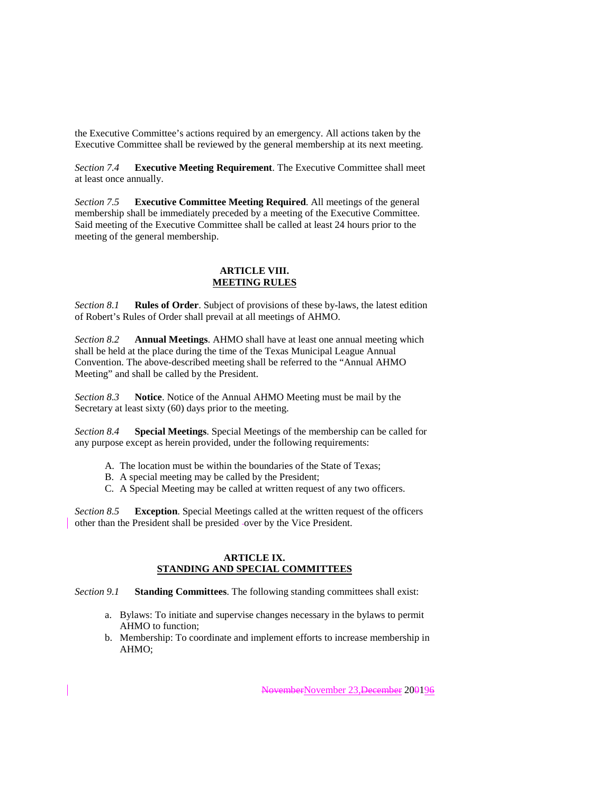the Executive Committee's actions required by an emergency. All actions taken by the Executive Committee shall be reviewed by the general membership at its next meeting.

*Section 7.4* **Executive Meeting Requirement**. The Executive Committee shall meet at least once annually.

*Section 7.5* **Executive Committee Meeting Required**. All meetings of the general membership shall be immediately preceded by a meeting of the Executive Committee. Said meeting of the Executive Committee shall be called at least 24 hours prior to the meeting of the general membership.

# **ARTICLE VIII. MEETING RULES**

*Section 8.1* **Rules of Order**. Subject of provisions of these by-laws, the latest edition of Robert's Rules of Order shall prevail at all meetings of AHMO.

*Section 8.2* **Annual Meetings**. AHMO shall have at least one annual meeting which shall be held at the place during the time of the Texas Municipal League Annual Convention. The above-described meeting shall be referred to the "Annual AHMO Meeting" and shall be called by the President.

*Section 8.3* **Notice**. Notice of the Annual AHMO Meeting must be mail by the Secretary at least sixty (60) days prior to the meeting.

*Section 8.4* **Special Meetings**. Special Meetings of the membership can be called for any purpose except as herein provided, under the following requirements:

- A. The location must be within the boundaries of the State of Texas;
- B. A special meeting may be called by the President;
- C. A Special Meeting may be called at written request of any two officers.

*Section 8.5* **Exception**. Special Meetings called at the written request of the officers other than the President shall be presided over by the Vice President.

### **ARTICLE IX. STANDING AND SPECIAL COMMITTEES**

*Section 9.1* **Standing Committees**. The following standing committees shall exist:

- a. Bylaws: To initiate and supervise changes necessary in the bylaws to permit AHMO to function;
- b. Membership: To coordinate and implement efforts to increase membership in AHMO;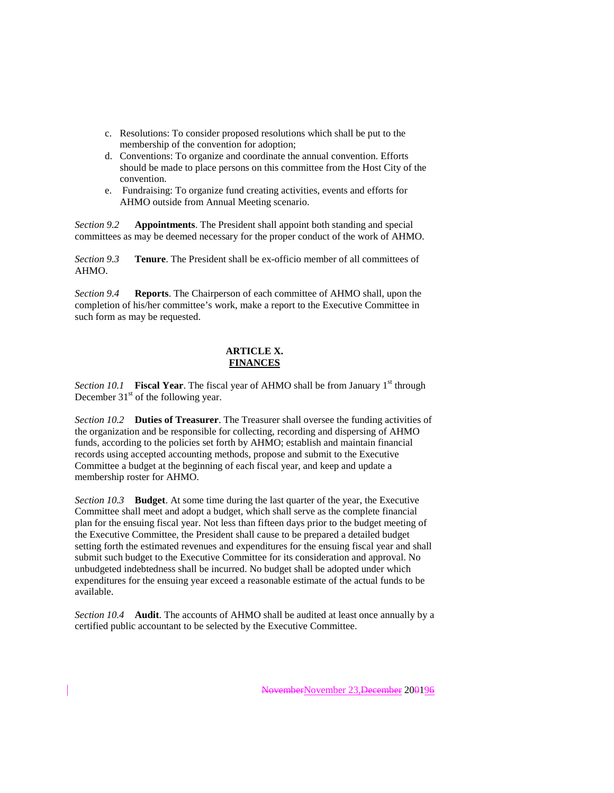- c. Resolutions: To consider proposed resolutions which shall be put to the membership of the convention for adoption;
- d. Conventions: To organize and coordinate the annual convention. Efforts should be made to place persons on this committee from the Host City of the convention.
- e. Fundraising: To organize fund creating activities, events and efforts for AHMO outside from Annual Meeting scenario.

*Section 9.2* **Appointments**. The President shall appoint both standing and special committees as may be deemed necessary for the proper conduct of the work of AHMO.

*Section 9.3* **Tenure**. The President shall be ex-officio member of all committees of AHMO.

*Section 9.4* **Reports**. The Chairperson of each committee of AHMO shall, upon the completion of his/her committee's work, make a report to the Executive Committee in such form as may be requested.

# **ARTICLE X. FINANCES**

*Section 10.1* **Fiscal Year**. The fiscal year of AHMO shall be from January 1<sup>st</sup> through December  $31<sup>st</sup>$  of the following year.

*Section 10.2* **Duties of Treasurer**. The Treasurer shall oversee the funding activities of the organization and be responsible for collecting, recording and dispersing of AHMO funds, according to the policies set forth by AHMO; establish and maintain financial records using accepted accounting methods, propose and submit to the Executive Committee a budget at the beginning of each fiscal year, and keep and update a membership roster for AHMO.

*Section 10.3* **Budget**. At some time during the last quarter of the year, the Executive Committee shall meet and adopt a budget, which shall serve as the complete financial plan for the ensuing fiscal year. Not less than fifteen days prior to the budget meeting of the Executive Committee, the President shall cause to be prepared a detailed budget setting forth the estimated revenues and expenditures for the ensuing fiscal year and shall submit such budget to the Executive Committee for its consideration and approval. No unbudgeted indebtedness shall be incurred. No budget shall be adopted under which expenditures for the ensuing year exceed a reasonable estimate of the actual funds to be available.

*Section 10.4* **Audit**. The accounts of AHMO shall be audited at least once annually by a certified public accountant to be selected by the Executive Committee.